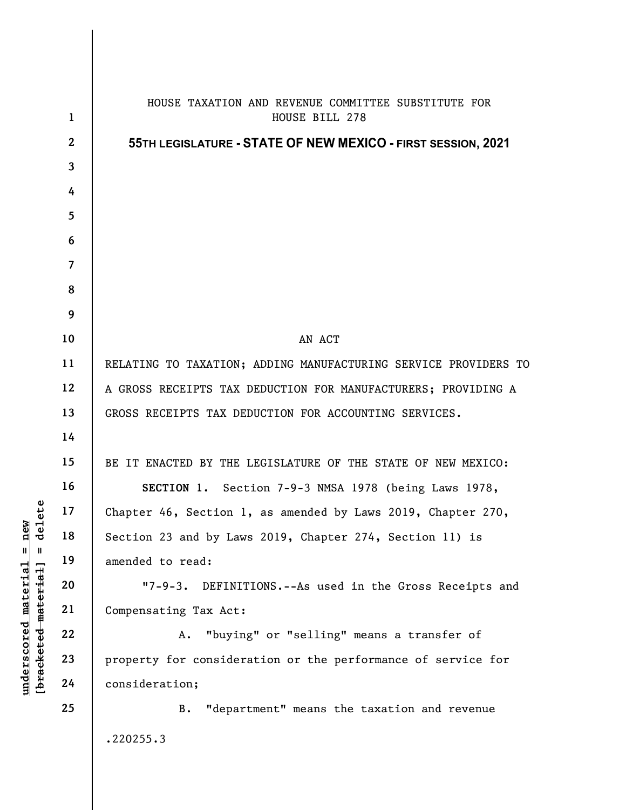|                                                | $\mathbf{1}$    | HOUSE TAXATION AND REVENUE COMMITTEE SUBSTITUTE FOR<br>HOUSE BILL 278 |
|------------------------------------------------|-----------------|-----------------------------------------------------------------------|
|                                                | $\mathbf{2}$    | 55TH LEGISLATURE - STATE OF NEW MEXICO - FIRST SESSION, 2021          |
|                                                | $\mathbf{3}$    |                                                                       |
|                                                | 4               |                                                                       |
|                                                | $5\phantom{.0}$ |                                                                       |
|                                                | 6               |                                                                       |
|                                                | $\overline{7}$  |                                                                       |
|                                                | 8               |                                                                       |
|                                                | 9               |                                                                       |
|                                                | 10              | AN ACT                                                                |
|                                                | 11              | RELATING TO TAXATION; ADDING MANUFACTURING SERVICE PROVIDERS TO       |
|                                                | 12              | A GROSS RECEIPTS TAX DEDUCTION FOR MANUFACTURERS; PROVIDING A         |
|                                                | 13              | GROSS RECEIPTS TAX DEDUCTION FOR ACCOUNTING SERVICES.                 |
|                                                | 14              |                                                                       |
|                                                | 15              | BE IT ENACTED BY THE LEGISLATURE OF THE STATE OF NEW MEXICO:          |
|                                                | 16              | SECTION 1. Section 7-9-3 NMSA 1978 (being Laws 1978,                  |
| ete                                            | 17              | Chapter 46, Section 1, as amended by Laws 2019, Chapter 270,          |
| de <sub>1</sub><br>$=$ new                     | 18              | Section 23 and by Laws 2019, Chapter 274, Section 11) is              |
| $\, \, \mathrm{II} \,$                         | 19              | amended to read:                                                      |
|                                                | 20              | $17 - 9 - 3.$<br>DEFINITIONS.--As used in the Gross Receipts and      |
|                                                | 21              | Compensating Tax Act:                                                 |
|                                                | 22              | "buying" or "selling" means a transfer of<br>Α.                       |
|                                                | 23              | property for consideration or the performance of service for          |
| $underscored$ material<br>[bracketed-material] | 24              | consideration;                                                        |
|                                                | 25              | "department" means the taxation and revenue<br><b>B.</b>              |
|                                                |                 | .220255.3                                                             |
|                                                |                 |                                                                       |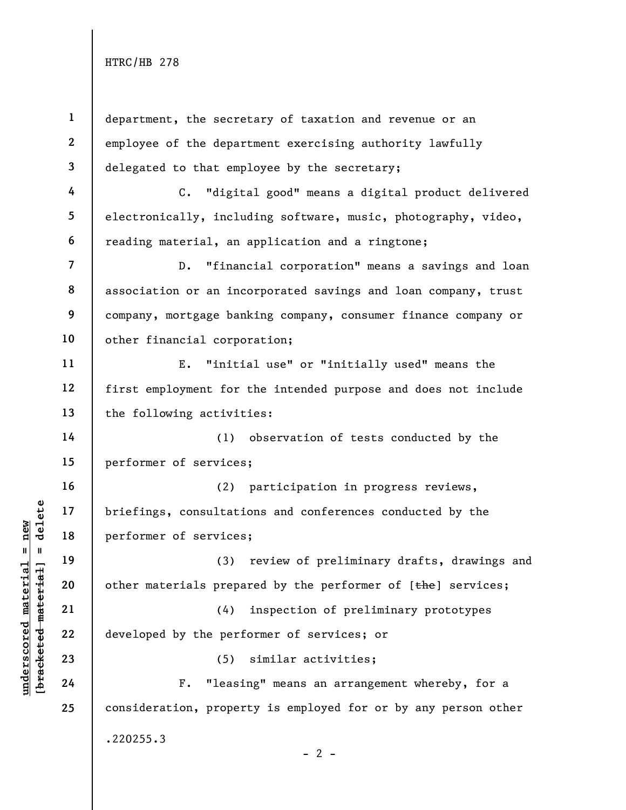underscored material = new [bracketed material] = delete 1 2 3 4 5 6 7 8 9 10 11 12 13 14 15 16 17 18 19 20 21 22 23 24 25 department, the secretary of taxation and revenue or an employee of the department exercising authority lawfully delegated to that employee by the secretary; C. "digital good" means a digital product delivered electronically, including software, music, photography, video, reading material, an application and a ringtone; D. "financial corporation" means a savings and loan association or an incorporated savings and loan company, trust company, mortgage banking company, consumer finance company or other financial corporation; E. "initial use" or "initially used" means the first employment for the intended purpose and does not include the following activities: (1) observation of tests conducted by the performer of services; (2) participation in progress reviews, briefings, consultations and conferences conducted by the performer of services; (3) review of preliminary drafts, drawings and other materials prepared by the performer of [the] services; (4) inspection of preliminary prototypes developed by the performer of services; or (5) similar activities; F. "leasing" means an arrangement whereby, for a consideration, property is employed for or by any person other .220255.3  $- 2 -$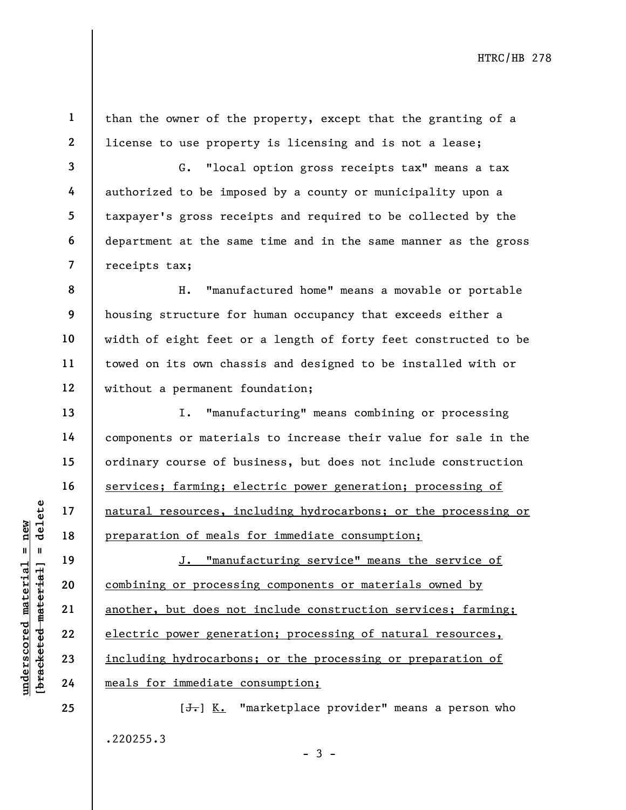1 2 than the owner of the property, except that the granting of a license to use property is licensing and is not a lease;

3 4 5 6 7 G. "local option gross receipts tax" means a tax authorized to be imposed by a county or municipality upon a taxpayer's gross receipts and required to be collected by the department at the same time and in the same manner as the gross receipts tax;

8 9 10 11 12 H. "manufactured home" means a movable or portable housing structure for human occupancy that exceeds either a width of eight feet or a length of forty feet constructed to be towed on its own chassis and designed to be installed with or without a permanent foundation;

I. "manufacturing" means combining or processing components or materials to increase their value for sale in the ordinary course of business, but does not include construction services; farming; electric power generation; processing of natural resources, including hydrocarbons; or the processing or preparation of meals for immediate consumption;

underscored material = new [bracketed material] = delete J. "manufacturing service" means the service of combining or processing components or materials owned by another, but does not include construction services; farming; electric power generation; processing of natural resources, including hydrocarbons; or the processing or preparation of meals for immediate consumption;

> [<del>J.</del>] K. "marketplace provider" means a person who .220255.3  $-3 -$

13

14

15

16

17

18

19

20

21

22

23

24

25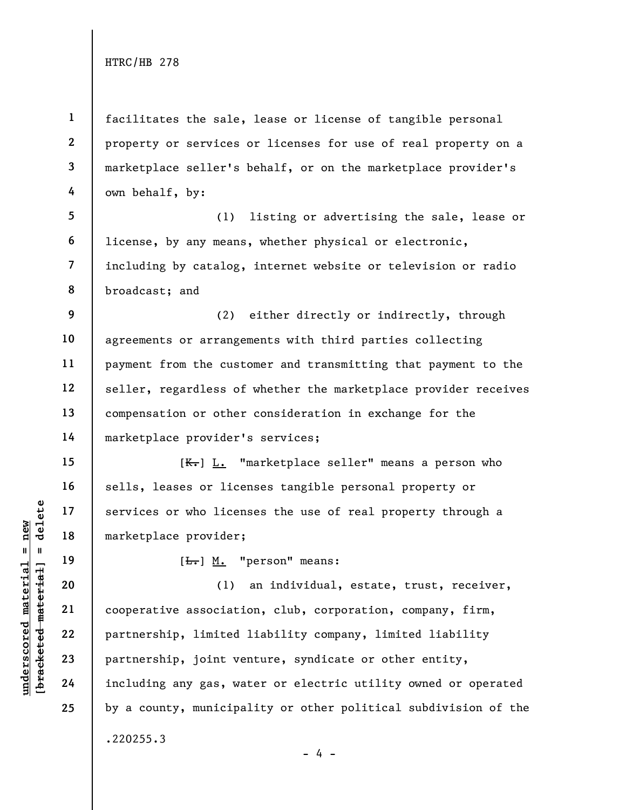1 2 3 4 facilitates the sale, lease or license of tangible personal property or services or licenses for use of real property on a marketplace seller's behalf, or on the marketplace provider's own behalf, by:

5 6 7 8 (1) listing or advertising the sale, lease or license, by any means, whether physical or electronic, including by catalog, internet website or television or radio broadcast; and

9 10 11 12 13 14 (2) either directly or indirectly, through agreements or arrangements with third parties collecting payment from the customer and transmitting that payment to the seller, regardless of whether the marketplace provider receives compensation or other consideration in exchange for the marketplace provider's services;

[ $K<sub>r</sub>$ ] L. "marketplace seller" means a person who sells, leases or licenses tangible personal property or services or who licenses the use of real property through a marketplace provider;

[<del>L.</del>] M. "person" means:

under 17<br>
= 18<br>
= 18<br>
= 19<br>
= 19<br>
= 19<br>
= 19<br>
= 19<br>
= 19<br>
= 19<br>
= 19<br>
= 19<br>
= 19<br>
= 19<br>
= 19<br>
= 19<br>
= 19<br>
= 19<br>
= 19<br>
= 19<br>
= 19<br>
= 19<br>
= 19<br>
= 19<br>
= 19<br>
= 19<br>
= 19<br>
= 19<br>
= 19<br>
= 19<br>
= 19<br>
= 19<br>
= 19<br>
= 19<br>
= 19<br>
= 19<br>
= (1) an individual, estate, trust, receiver, cooperative association, club, corporation, company, firm, partnership, limited liability company, limited liability partnership, joint venture, syndicate or other entity, including any gas, water or electric utility owned or operated by a county, municipality or other political subdivision of the .220255.3

15

16

17

18

19

20

21

22

23

24

25

 $- 4 -$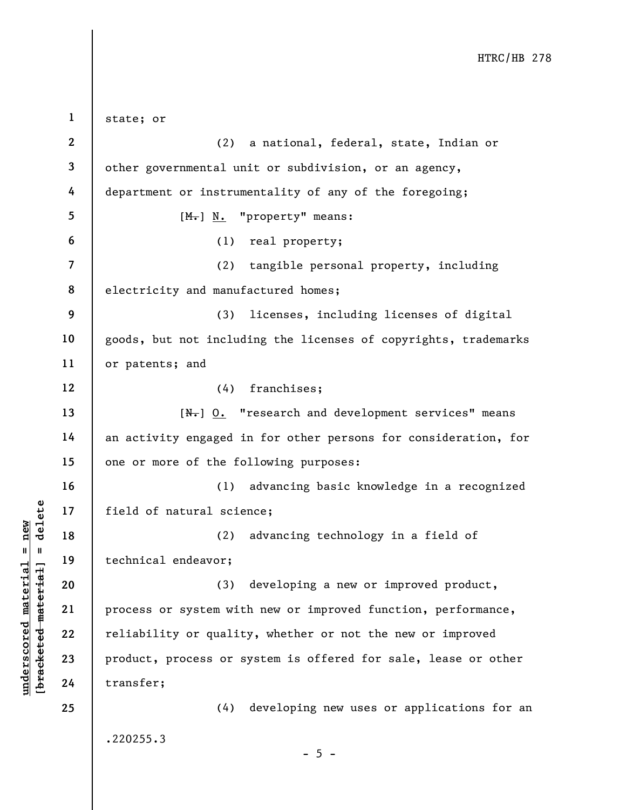|                                                              | $\mathbf{1}$   | state; or                                                       |
|--------------------------------------------------------------|----------------|-----------------------------------------------------------------|
|                                                              | $\mathbf{2}$   | (2)<br>a national, federal, state, Indian or                    |
|                                                              | 3              | other governmental unit or subdivision, or an agency,           |
|                                                              | 4              | department or instrumentality of any of the foregoing;          |
|                                                              | 5              | $[Mo]$ N. "property" means:                                     |
|                                                              | 6              | (1) real property;                                              |
|                                                              | $\overline{7}$ | (2)<br>tangible personal property, including                    |
|                                                              | 8              | electricity and manufactured homes;                             |
|                                                              | 9              | (3)<br>licenses, including licenses of digital                  |
|                                                              | 10             | goods, but not including the licenses of copyrights, trademarks |
|                                                              | 11             | or patents; and                                                 |
|                                                              | 12             | (4) franchises;                                                 |
|                                                              | 13             | $[N1]$ 0. "research and development services" means             |
|                                                              | 14             | an activity engaged in for other persons for consideration, for |
|                                                              | 15             | one or more of the following purposes:                          |
|                                                              | 16             | advancing basic knowledge in a recognized<br>(1)                |
| delete                                                       | 17             | field of natural science;                                       |
| new                                                          | 18             | (2)<br>advancing technology in a field of                       |
| H<br>H                                                       | 19             | technical endeavor;                                             |
| material                                                     | 20             | developing a new or improved product,<br>(3)                    |
|                                                              | 21             | process or system with new or improved function, performance,   |
| [ <del>bracketed material</del> ]<br>$\bm{{\rm underscore}}$ | 22             | reliability or quality, whether or not the new or improved      |
|                                                              | 23             | product, process or system is offered for sale, lease or other  |
|                                                              | 24             | transfer;                                                       |
|                                                              | 25             | developing new uses or applications for an<br>(4)               |
|                                                              |                | .220255.3                                                       |
|                                                              |                | $-5 -$                                                          |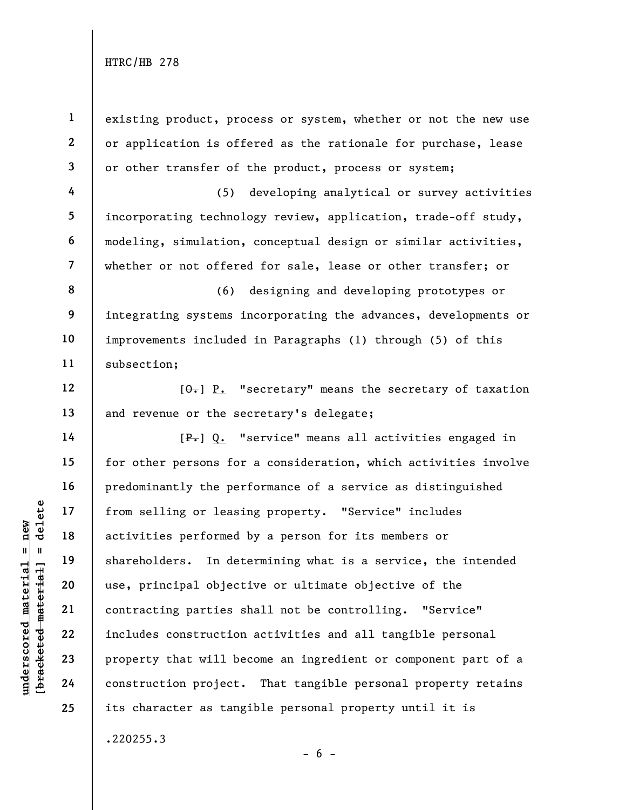understand material of the settling of least<br>
activities performed<br>
activities performed<br>
shareholders. In det<br>
use, principal object<br>
use, principal object<br>
contracting parties s<br>
22<br>
23<br>
property that will be<br>
24<br>
constr 1 2 3 4 5 6 7 8 9 10 11 12 13 14 15 16 17 18 19 20 21 22 23 24 25 existing product, process or system, whether or not the new use or application is offered as the rationale for purchase, lease or other transfer of the product, process or system; (5) developing analytical or survey activities incorporating technology review, application, trade-off study, modeling, simulation, conceptual design or similar activities, whether or not offered for sale, lease or other transfer; or (6) designing and developing prototypes or integrating systems incorporating the advances, developments or improvements included in Paragraphs (1) through (5) of this subsection;  $[\theta_{\overline{\tau}}]$  P. "secretary" means the secretary of taxation and revenue or the secretary's delegate; [P.] Q. "service" means all activities engaged in for other persons for a consideration, which activities involve predominantly the performance of a service as distinguished from selling or leasing property. "Service" includes activities performed by a person for its members or shareholders. In determining what is a service, the intended use, principal objective or ultimate objective of the contracting parties shall not be controlling. "Service" includes construction activities and all tangible personal property that will become an ingredient or component part of a construction project. That tangible personal property retains its character as tangible personal property until it is .220255.3

 $- 6 -$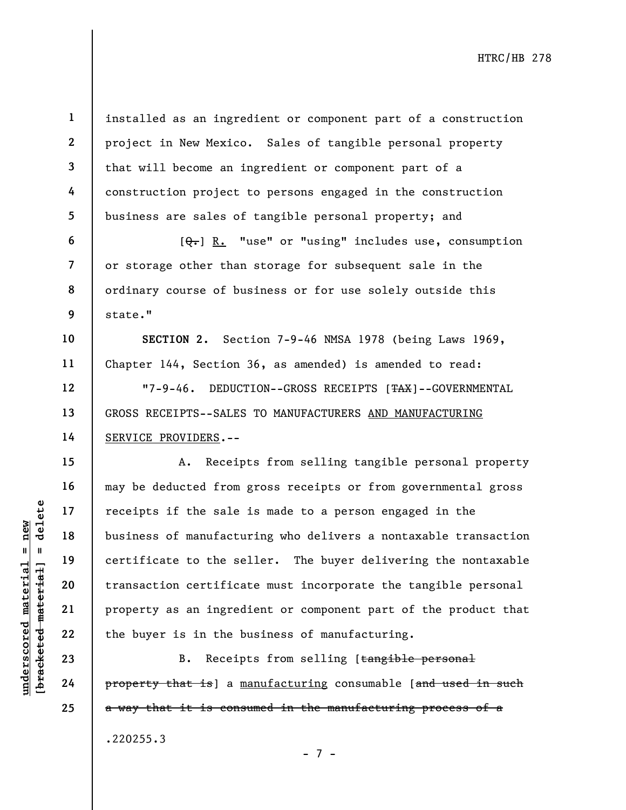1 2 3 4 5 installed as an ingredient or component part of a construction project in New Mexico. Sales of tangible personal property that will become an ingredient or component part of a construction project to persons engaged in the construction business are sales of tangible personal property; and

 $[Q_{\tau}]$  R. "use" or "using" includes use, consumption or storage other than storage for subsequent sale in the ordinary course of business or for use solely outside this state."

SECTION 2. Section 7-9-46 NMSA 1978 (being Laws 1969, Chapter 144, Section 36, as amended) is amended to read:

"7-9-46. DEDUCTION--GROSS RECEIPTS [TAX]--GOVERNMENTAL GROSS RECEIPTS--SALES TO MANUFACTURERS AND MANUFACTURING SERVICE PROVIDERS.--

under 17<br>
under 18<br>
under 19<br>
under 19<br>
under 19<br>
under 19<br>
20<br>
under 19<br>
21<br>
22<br>
under 19<br>
22<br>
the buyer is in the b<br>
23<br>
24<br>
Property that is ] a <u>m</u><br>
24<br>
Property that is ] a <u>m</u><br>
24<br>
Property that is ] a m A. Receipts from selling tangible personal property may be deducted from gross receipts or from governmental gross receipts if the sale is made to a person engaged in the business of manufacturing who delivers a nontaxable transaction certificate to the seller. The buyer delivering the nontaxable transaction certificate must incorporate the tangible personal property as an ingredient or component part of the product that the buyer is in the business of manufacturing.

B. Receipts from selling [tangible personal property that is] a manufacturing consumable [and used in such a way that it is consumed in the manufacturing process of a .220255.3

- 7 -

6

7

8

9

10

11

12

13

14

15

16

17

18

19

20

21

22

23

24

25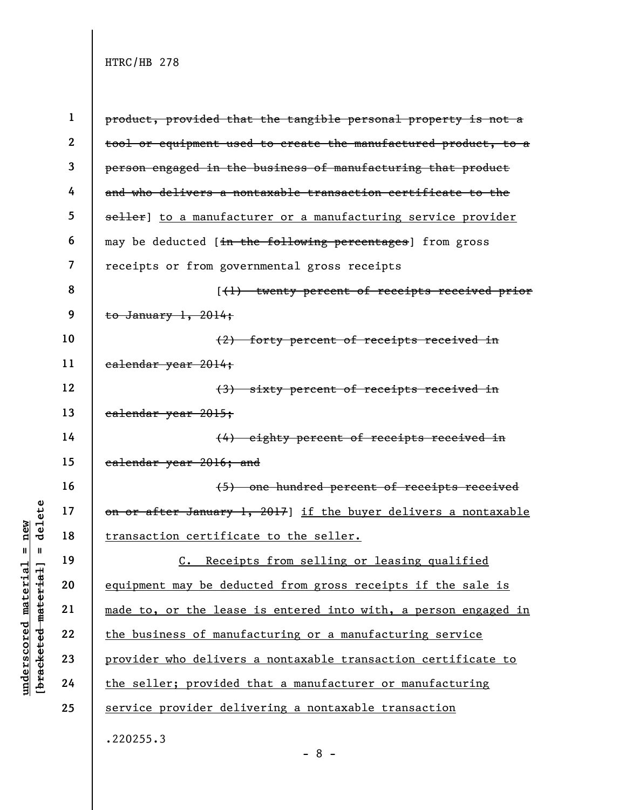|                                                           | $\mathbf 1$    | product, provided that the tangible personal property is not a  |
|-----------------------------------------------------------|----------------|-----------------------------------------------------------------|
|                                                           | $\mathbf{2}$   | tool or equipment used to create the manufactured product, to a |
|                                                           | $\mathbf{3}$   | person engaged in the business of manufacturing that product    |
|                                                           | 4              | and who delivers a nontaxable transaction certificate to the    |
|                                                           | 5              | seller] to a manufacturer or a manufacturing service provider   |
|                                                           | 6              | may be deducted [in the following percentages] from gross       |
|                                                           | $\overline{7}$ | receipts or from governmental gross receipts                    |
|                                                           | 8              | [(1) twenty percent of receipts received prior                  |
|                                                           | 9              | to January $1, 2014;$                                           |
|                                                           | 10             | (2) forty percent of receipts received in                       |
|                                                           | 11             | ealendar year 2014;                                             |
|                                                           | 12             | (3) sixty percent of receipts received in                       |
|                                                           | 13             | ealendar year 2015;                                             |
|                                                           | 14             | (4) eighty percent of receipts received in                      |
|                                                           | 15             | calendar year 2016; and                                         |
|                                                           | 16             | (5) one hundred percent of receipts received                    |
| delete                                                    | 17             | on or after January 1, 2017] if the buyer delivers a nontaxable |
| new                                                       | 18             | transaction certificate to the seller.                          |
| II<br>$\mathbf{u}$                                        | 19             | C. Receipts from selling or leasing qualified                   |
|                                                           | 20             | equipment may be deducted from gross receipts if the sale is    |
|                                                           | 21             | made to, or the lease is entered into with, a person engaged in |
|                                                           | 22             | the business of manufacturing or a manufacturing service        |
| [ <del>bracketed material</del> ]<br>underscored material | 23             | provider who delivers a nontaxable transaction certificate to   |
|                                                           | 24             | the seller; provided that a manufacturer or manufacturing       |
|                                                           | 25             | service provider delivering a nontaxable transaction            |

.220255.3

- 8 -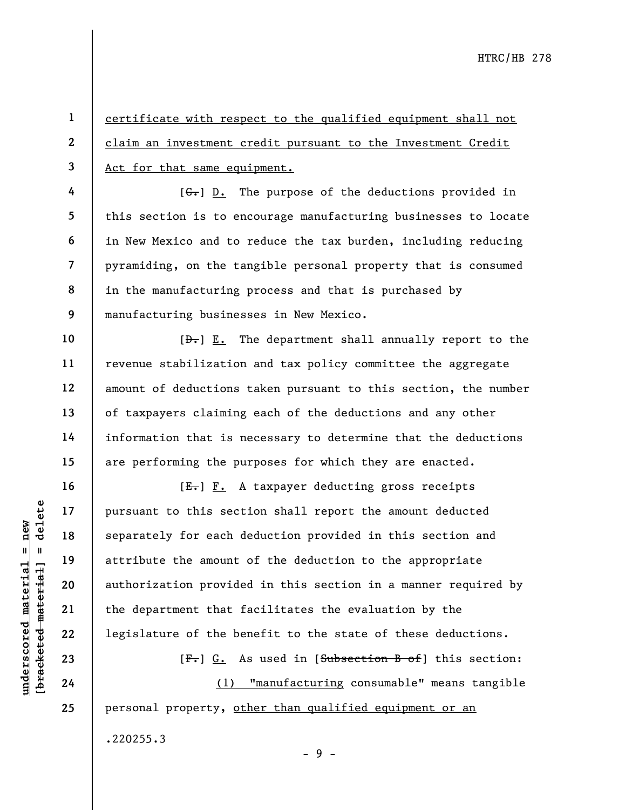1 2 3 certificate with respect to the qualified equipment shall not claim an investment credit pursuant to the Investment Credit Act for that same equipment.

 $[G<sub>1</sub>]$  D. The purpose of the deductions provided in this section is to encourage manufacturing businesses to locate in New Mexico and to reduce the tax burden, including reducing pyramiding, on the tangible personal property that is consumed in the manufacturing process and that is purchased by manufacturing businesses in New Mexico.

 $[\frac{D-1}{2}]$  E. The department shall annually report to the revenue stabilization and tax policy committee the aggregate amount of deductions taken pursuant to this section, the number of taxpayers claiming each of the deductions and any other information that is necessary to determine that the deductions are performing the purposes for which they are enacted.

under 17<br>
and 18<br>
19<br>
19<br>
19<br>
attribute the amount<br>
authorization provide<br>
21<br>
22<br>
1egislature of the be<br>
23<br>
24<br>
24<br>
24<br>
20<br>
24<br>
24<br>
24<br>
20<br>
24<br>
24<br>
20<br>
24<br>
24<br>
20<br>
24<br>
20<br>
24<br>
20<br>
24<br>
24  $[E-]$   $F.$  A taxpayer deducting gross receipts pursuant to this section shall report the amount deducted separately for each deduction provided in this section and attribute the amount of the deduction to the appropriate authorization provided in this section in a manner required by the department that facilitates the evaluation by the legislature of the benefit to the state of these deductions.

[F.] G. As used in [Subsection B of] this section:

(1) "manufacturing consumable" means tangible personal property, other than qualified equipment or an .220255.3

 $-9 -$ 

4

5

6

7

8

9

10

11

12

13

14

15

16

17

18

19

20

21

22

23

24

25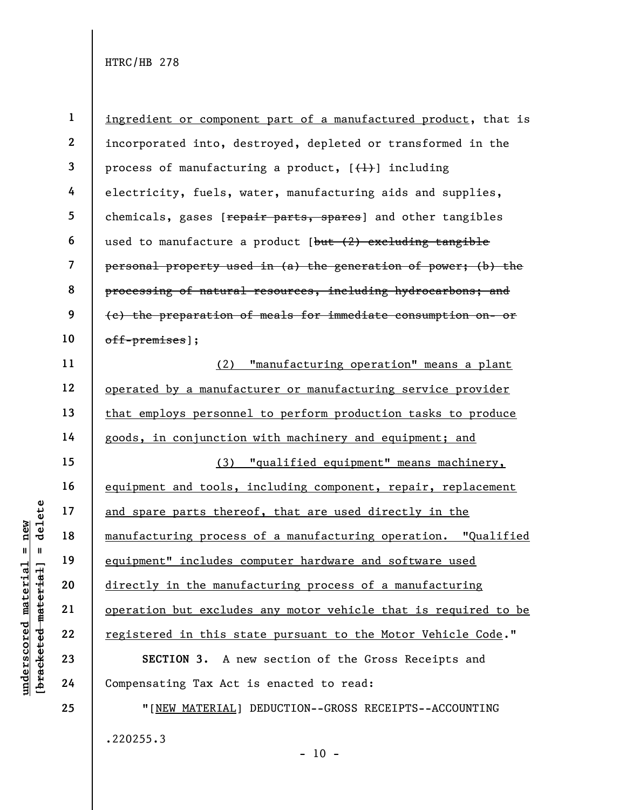under 17<br>
and spare parts there<br>  $\begin{array}{c|c} \texttt{and} & \texttt{and} & \texttt{spare} & \texttt{ments} & \texttt{there} \\ \hline \texttt{and} & \texttt{u} & \texttt{u} & \texttt{u} & \texttt{u} \\ \hline \texttt{d} & \texttt{u} & \texttt{u} & \texttt{u} & \texttt{u} \\ \texttt{u} & \texttt{u} & \texttt{u} & \texttt{u} & \texttt{u} \\ \texttt{u} & \texttt{u} & \texttt{u} & \texttt{u} & \texttt$ 1 2 3 4 5 6 7 8 9 10 11 12 13 14 15 16 17 18 19 20 21 22 23 24 25 ingredient or component part of a manufactured product, that is incorporated into, destroyed, depleted or transformed in the process of manufacturing a product,  $[\frac{1}{1}]$  including electricity, fuels, water, manufacturing aids and supplies, chemicals, gases [repair parts, spares] and other tangibles used to manufacture a product [but (2) excluding tangible personal property used in (a) the generation of power; (b) the processing of natural resources, including hydrocarbons; and (c) the preparation of meals for immediate consumption on- or off-premises]; (2) "manufacturing operation" means a plant operated by a manufacturer or manufacturing service provider that employs personnel to perform production tasks to produce goods, in conjunction with machinery and equipment; and (3) "qualified equipment" means machinery, equipment and tools, including component, repair, replacement and spare parts thereof, that are used directly in the manufacturing process of a manufacturing operation. "Qualified equipment" includes computer hardware and software used directly in the manufacturing process of a manufacturing operation but excludes any motor vehicle that is required to be registered in this state pursuant to the Motor Vehicle Code." SECTION 3. A new section of the Gross Receipts and Compensating Tax Act is enacted to read: "[NEW MATERIAL] DEDUCTION--GROSS RECEIPTS--ACCOUNTING

.220255.3

 $- 10 -$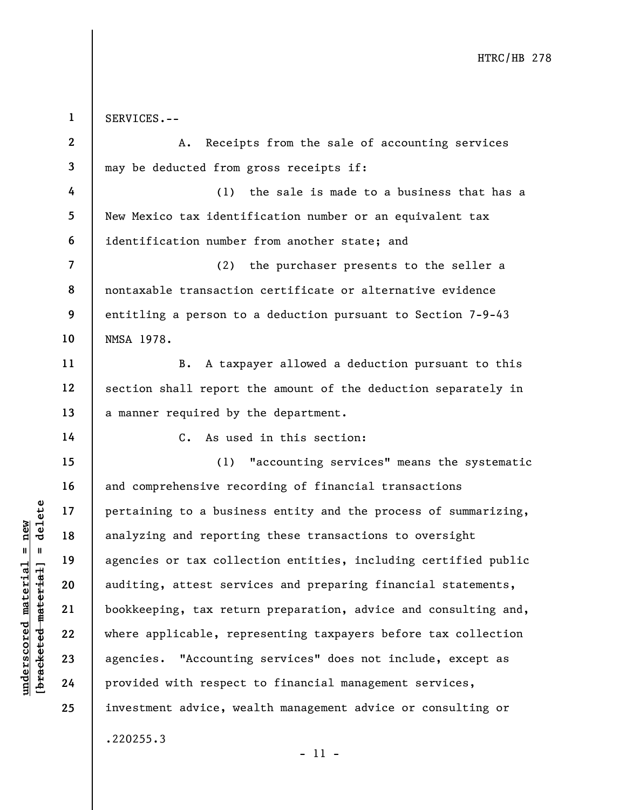under 17<br>
analyzing and reporti<br>
analyzing and reporti<br>
analyzing and reporti<br>
analyzing and reporti<br>
agencies or tax colle<br>
auditing, attest serv<br>
bookkeeping, tax retu<br>
bookkeeping, tax retu<br>
where applicable, rep<br>
agenc 1 2 3 4 5 6 7 8 9 10 11 12 13 14 15 16 17 18 19 20 21 22 23 24 25 SERVICES.-- A. Receipts from the sale of accounting services may be deducted from gross receipts if: (1) the sale is made to a business that has a New Mexico tax identification number or an equivalent tax identification number from another state; and (2) the purchaser presents to the seller a nontaxable transaction certificate or alternative evidence entitling a person to a deduction pursuant to Section 7-9-43 NMSA 1978. B. A taxpayer allowed a deduction pursuant to this section shall report the amount of the deduction separately in a manner required by the department. C. As used in this section: (1) "accounting services" means the systematic and comprehensive recording of financial transactions pertaining to a business entity and the process of summarizing, analyzing and reporting these transactions to oversight agencies or tax collection entities, including certified public auditing, attest services and preparing financial statements, bookkeeping, tax return preparation, advice and consulting and, where applicable, representing taxpayers before tax collection agencies. "Accounting services" does not include, except as provided with respect to financial management services, investment advice, wealth management advice or consulting or .220255.3

- 11 -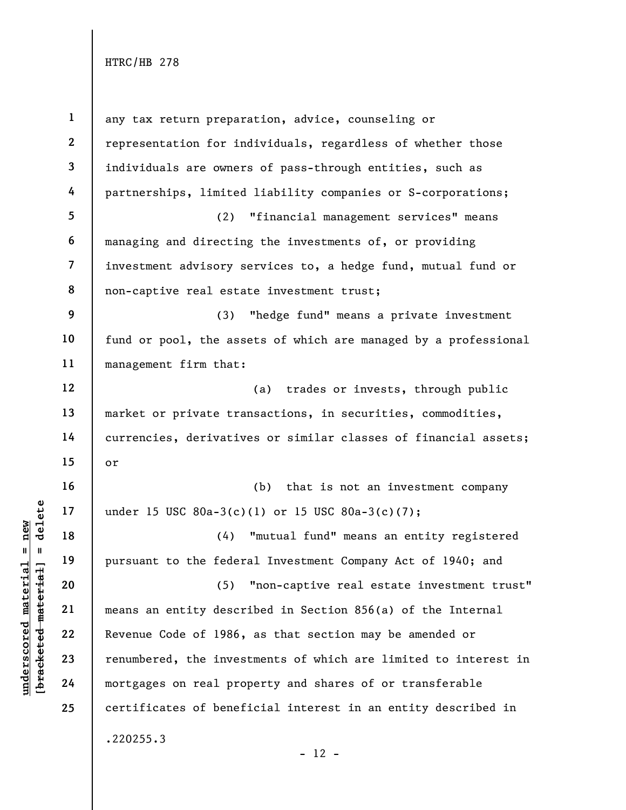| $\mathbf{1}$            | any tax return preparation, advice, counseling or               |
|-------------------------|-----------------------------------------------------------------|
| $\mathbf{2}$            | representation for individuals, regardless of whether those     |
| $\mathbf{3}$            | individuals are owners of pass-through entities, such as        |
| 4                       | partnerships, limited liability companies or S-corporations;    |
| 5                       | (2) "financial management services" means                       |
| 6                       | managing and directing the investments of, or providing         |
| $\overline{\mathbf{7}}$ | investment advisory services to, a hedge fund, mutual fund or   |
| 8                       | non-captive real estate investment trust;                       |
| 9                       | (3) "hedge fund" means a private investment                     |
| 10                      | fund or pool, the assets of which are managed by a professional |
| 11                      | management firm that:                                           |
| 12                      | (a) trades or invests, through public                           |
| 13                      | market or private transactions, in securities, commodities,     |
| 14                      | currencies, derivatives or similar classes of financial assets; |
| 15                      | or                                                              |
| 16                      | (b) that is not an investment company                           |
| 17                      | under 15 USC 80a-3(c)(1) or 15 USC 80a-3(c)(7);                 |
| 18                      | (4) "mutual fund" means an entity registered                    |
| 19                      | pursuant to the federal Investment Company Act of 1940; and     |
| 20                      | (5) "non-captive real estate investment trust"                  |
| 21                      | means an entity described in Section 856(a) of the Internal     |
| 22                      | Revenue Code of 1986, as that section may be amended or         |
| 23                      | renumbered, the investments of which are limited to interest in |
| 24                      | mortgages on real property and shares of or transferable        |
| 25                      | certificates of beneficial interest in an entity described in   |
|                         | .220255.3                                                       |

- 12 -